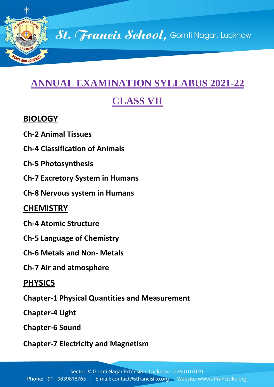

# **ANNUAL EXAMINATION SYLLABUS 2021-22**

# **CLASS VII**

#### **BIOLOGY**

- **Ch-2 Animal Tissues**
- **Ch-4 Classification of Animals**
- **Ch-5 Photosynthesis**
- **Ch-7 Excretory System in Humans**
- **Ch-8 Nervous system in Humans**

## **CHEMISTRY**

- **Ch-4 Atomic Structure**
- **Ch-5 Language of Chemistry**
- **Ch-6 Metals and Non- Metals**
- **Ch-7 Air and atmosphere**

## **PHYSICS**

**Chapter-1 Physical Quantities and Measurement**

**Chapter-4 Light**

**Chapter-6 Sound**

**Chapter-7 Electricity and Magnetism**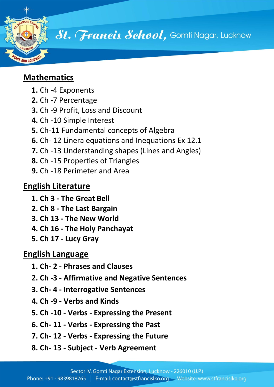

# **Mathematics**

- **1.** Ch -4 Exponents
- **2.** Ch -7 Percentage
- **3.** Ch -9 Profit, Loss and Discount
- **4.** Ch -10 Simple Interest
- **5.** Ch-11 Fundamental concepts of Algebra
- **6.** Ch- 12 Linera equations and Inequations Ex 12.1
- **7.** Ch -13 Understanding shapes (Lines and Angles)
- **8.** Ch -15 Properties of Triangles
- **9.** Ch -18 Perimeter and Area

## **English Literature**

- **1. Ch 3 - The Great Bell**
- **2. Ch 8 - The Last Bargain**
- **3. Ch 13 - The New World**
- **4. Ch 16 - The Holy Panchayat**
- **5. Ch 17 - Lucy Gray**

#### **English Language**

- **1. Ch- 2 - Phrases and Clauses**
- **2. Ch -3 - Affirmative and Negative Sentences**
- **3. Ch- 4 - Interrogative Sentences**
- **4. Ch -9 - Verbs and Kinds**
- **5. Ch -10 - Verbs - Expressing the Present**
- **6. Ch- 11 - Verbs - Expressing the Past**
- **7. Ch- 12 - Verbs - Expressing the Future**
- **8. Ch- 13 - Subject - Verb Agreement**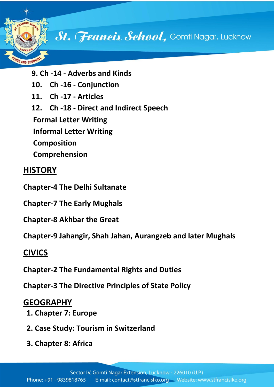

- **9. Ch -14 - Adverbs and Kinds**
- **10. Ch -16 - Conjunction**
- **11. Ch -17 - Articles**
- **12. Ch -18 - Direct and Indirect Speech**

**Formal Letter Writing** 

**Informal Letter Writing**

**Composition** 

**Comprehension**

#### **HISTORY**

- **Chapter-4 The Delhi Sultanate**
- **Chapter-7 The Early Mughals**
- **Chapter-8 Akhbar the Great**

**Chapter-9 Jahangir, Shah Jahan, Aurangzeb and later Mughals**

## **CIVICS**

**Chapter-2 The Fundamental Rights and Duties**

**Chapter-3 The Directive Principles of State Policy**

#### **GEOGRAPHY**

- **1. Chapter 7: Europe**
- **2. Case Study: Tourism in Switzerland**
- **3. Chapter 8: Africa**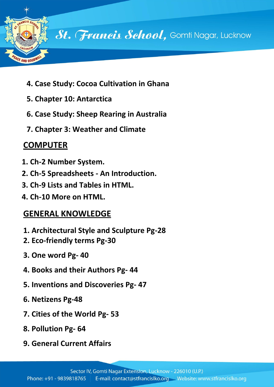

- **4. Case Study: Cocoa Cultivation in Ghana**
- **5. Chapter 10: Antarctica**
- **6. Case Study: Sheep Rearing in Australia**
- **7. Chapter 3: Weather and Climate**

# **COMPUTER**

- **1. Ch-2 Number System.**
- **2. Ch-5 Spreadsheets - An Introduction.**
- **3. Ch-9 Lists and Tables in HTML.**
- **4. Ch-10 More on HTML.**

# **GENERAL KNOWLEDGE**

- **1. Architectural Style and Sculpture Pg-28**
- **2. Eco-friendly terms Pg-30**
- **3. One word Pg- 40**
- **4. Books and their Authors Pg- 44**
- **5. Inventions and Discoveries Pg- 47**
- **6. Netizens Pg-48**
- **7. Cities of the World Pg- 53**
- **8. Pollution Pg- 64**
- **9. General Current Affairs**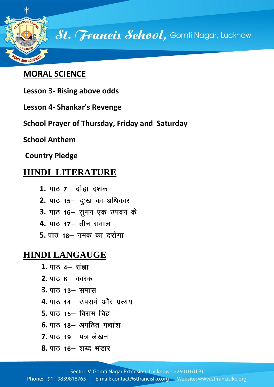![](_page_4_Picture_0.jpeg)

#### **MORAL SCIENCE**

- **Lesson 3- Rising above odds**
- **Lesson 4- Shankar's Revenge**
- **School Prayer of Thursday, Friday and Saturday**

**School Anthem** 

**Country Pledge**

## **HINDI LITERATURE**

- **1.**
- **2.**
- 3. पाठ 16 सुमन एक उपवन के
- **4.**
- 5. पाठ 18 नमक का दरोगा

## **HINDI LANGAUGE**

- 1. पाठ 4– संज्ञा
- **2.**
- **3.**
- **4.** पाठ 14- उपसर्ग और प्रत्यय
- **5.** पाठ 15– विराम चिह्न
- **6.** पाठ 18- अपठित गद्यांश
- 7. पाठ 19- पत्र लेखन
- 8. पाठ 16– शब्द **भंडार**

Sector IV, Gomti Nagar Extension, Lucknow - 226010 (U.P.)